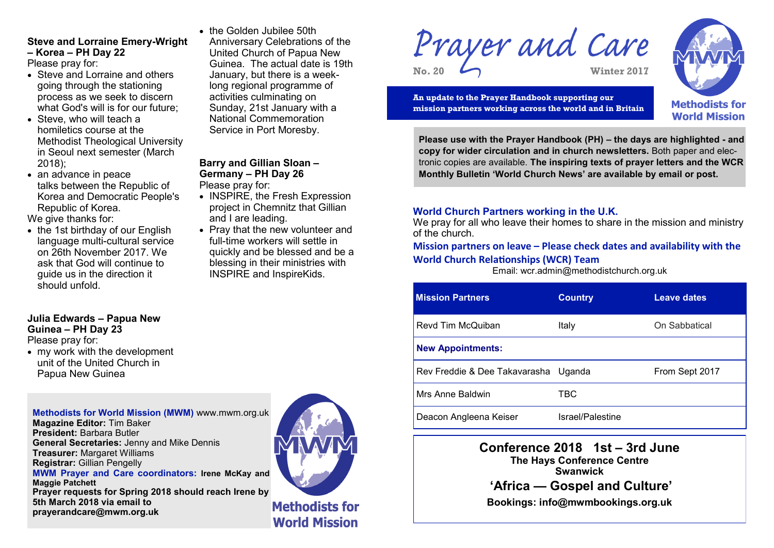# **Steve and Lorraine Emery-Wright – Korea – PH Day 22**

Please pray for:

- Steve and Lorraine and others going through the stationing process as we seek to discern what God's will is for our future;
- Steve, who will teach a homiletics course at the Methodist Theological University in Seoul next semester (March 2018);
- an advance in peace talks between the Republic of Korea and Democratic People's Republic of Korea.

We give thanks for:

• the 1st birthday of our English language multi-cultural service on 26th November 2017. We ask that God will continue to guide us in the direction it should unfold.

#### **Julia Edwards – Papua New Guinea – PH Day 23** Please pray for:

 my work with the development unit of the United Church in Papua New Guinea

**Methodists for World Mission (MWM)** www.mwm.org.uk **Magazine Editor:** Tim Baker **President:** Barbara Butler **General Secretaries:** Jenny and Mike Dennis **Treasurer:** Margaret Williams **Registrar:** Gillian Pengelly **MWM Prayer and Care coordinators: Irene McKay and Maggie Patchett Prayer requests for Spring 2018 should reach Irene by 5th March 2018 via email to prayerandcare@mwm.org.uk** 



the Golden Jubilee 50th

**Barry and Gillian Sloan – Germany – PH Day 26**

• INSPIRE, the Fresh Expression project in Chemnitz that Gillian

• Pray that the new volunteer and full-time workers will settle in quickly and be blessed and be a blessing in their ministries with INSPIRE and InspireKids.

Please pray for:

and I are leading.

Anniversary Celebrations of the United Church of Papua New Guinea. The actual date is 19th January, but there is a weeklong regional programme of activities culminating on Sunday, 21st January with a National Commemoration Service in Port Moresby.

> **Methodists for World Mission**

Prayer and Care **No. 20 Winter 2017**



**An update to the Prayer Handbook supporting our mission partners working across the world and in Britain**



**Please use with the Prayer Handbook (PH) – the days are highlighted - and copy for wider circulation and in church newsletters.** Both paper and electronic copies are available. **The inspiring texts of prayer letters and the WCR Monthly Bulletin 'World Church News' are available by email or post.**

## **World Church Partners working in the U.K.**

We pray for all who leave their homes to share in the mission and ministry of the church.

# **Mission partners on leave – Please check dates and availability with the World Church Relationships (WCR) Team**

Email: wcr.admin@methodistchurch.org.uk

| <b>Mission Partners</b>              | <b>Country</b>   | <b>Leave dates</b> |
|--------------------------------------|------------------|--------------------|
| Revd Tim McQuiban                    | Italy            | On Sabbatical      |
| <b>New Appointments:</b>             |                  |                    |
| Rev Freddie & Dee Takavarasha Uganda |                  | From Sept 2017     |
| Mrs Anne Baldwin                     | TBC              |                    |
| Deacon Angleena Keiser               | Israel/Palestine |                    |

**Conference 2018 1st – 3rd June The Hays Conference Centre Swanwick 'Africa — Gospel and Culture'** 

**Bookings: info@mwmbookings.org.uk**